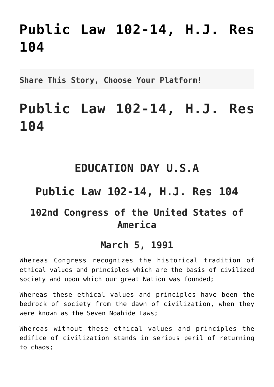# **[Public Law 102-14, H.J. Res](http://noahide.org/public-law-102-14-h-j-res-104/) [104](http://noahide.org/public-law-102-14-h-j-res-104/)**

**Share This Story, Choose Your Platform!**

# **Public Law 102-14, H.J. Res 104**

### **EDUCATION DAY U.S.A**

## **Public Law 102-14, H.J. Res 104**

### **102nd Congress of the United States of America**

#### **March 5, 1991**

Whereas Congress recognizes the historical tradition of ethical values and principles which are the basis of civilized society and upon which our great Nation was founded;

Whereas these ethical values and principles have been the bedrock of society from the dawn of civilization, when they were known as the Seven Noahide Laws;

Whereas without these ethical values and principles the edifice of civilization stands in serious peril of returning to chaos;